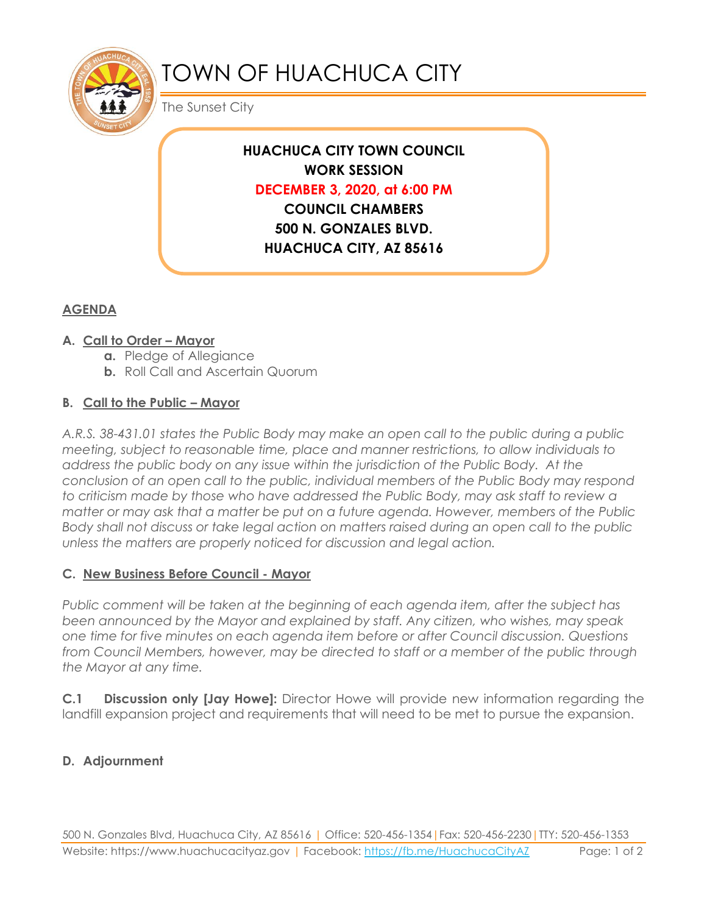

# TOWN OF HUACHUCA CITY

The Sunset City

### **HUACHUCA CITY TOWN COUNCIL WORK SESSION DECEMBER 3, 2020, at 6:00 PM COUNCIL CHAMBERS 500 N. GONZALES BLVD. HUACHUCA CITY, AZ 85616**

#### **AGENDA**

#### **A. Call to Order – Mayor**

- **a.** Pledge of Allegiance
- **b.** Roll Call and Ascertain Quorum

#### **B. Call to the Public – Mayor**

*A.R.S. 38-431.01 states the Public Body may make an open call to the public during a public meeting, subject to reasonable time, place and manner restrictions, to allow individuals to address the public body on any issue within the jurisdiction of the Public Body. At the conclusion of an open call to the public, individual members of the Public Body may respond to criticism made by those who have addressed the Public Body, may ask staff to review a matter or may ask that a matter be put on a future agenda. However, members of the Public Body shall not discuss or take legal action on matters raised during an open call to the public unless the matters are properly noticed for discussion and legal action.*

#### **C. New Business Before Council - Mayor**

*Public comment will be taken at the beginning of each agenda item, after the subject has been announced by the Mayor and explained by staff. Any citizen, who wishes, may speak one time for five minutes on each agenda item before or after Council discussion. Questions from Council Members, however, may be directed to staff or a member of the public through the Mayor at any time.* 

**C.1 Discussion only [Jay Howe]:** Director Howe will provide new information regarding the landfill expansion project and requirements that will need to be met to pursue the expansion.

#### **D. Adjournment**